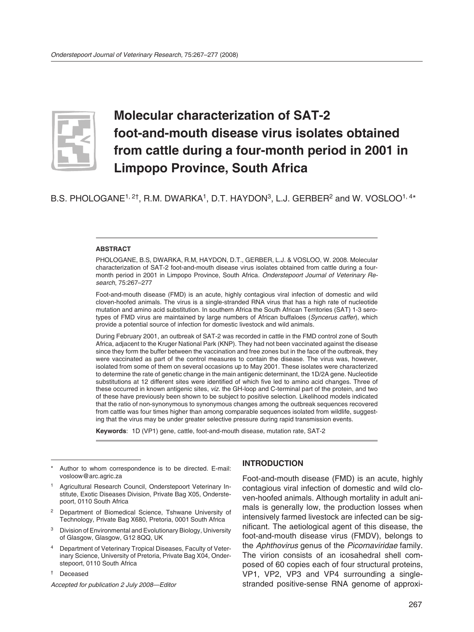

# **Molecular characterization of SAT-2 foot-and-mouth disease virus isolates obtained from cattle during a four-month period in 2001 in Limpopo Province, South Africa**

B.S. PHOLOGANE<sup>1, 2†</sup>, R.M. DWARKA<sup>1</sup>, D.T. HAYDON<sup>3</sup>, L.J. GERBER<sup>2</sup> and W. VOSLOO<sup>1, 4\*</sup>

#### **ABSTRACT**

PHOLOGANE, B.S, DWARKA, R.M, HAYDON, D.T., GERBER, L.J. & VOSLOO, W. 2008. Molecular characterization of SAT-2 foot-and-mouth disease virus isolates obtained from cattle during a fourmonth period in 2001 in Limpopo Province, South Africa. *Onderstepoort Journal of Veterinary Research*, 75:267–277

Foot-and-mouth disease (FMD) is an acute, highly contagious viral infection of domestic and wild cloven-hoofed animals. The virus is a single-stranded RNA virus that has a high rate of nucleotide mutation and amino acid substitution. In southern Africa the South African Territories (SAT) 1-3 serotypes of FMD virus are maintained by large numbers of African buffaloes (*Syncerus caffer*), which provide a potential source of infection for domestic livestock and wild animals.

During February 2001, an outbreak of SAT-2 was recorded in cattle in the FMD control zone of South Africa, adjacent to the Kruger National Park (KNP). They had not been vaccinated against the disease since they form the buffer between the vaccination and free zones but in the face of the outbreak, they were vaccinated as part of the control measures to contain the disease. The virus was, however, isolated from some of them on several occasions up to May 2001. These isolates were characterized to determine the rate of genetic change in the main antigenic determinant, the 1D/2A gene. Nucleotide substitutions at 12 different sites were identified of which five led to amino acid changes. Three of these occurred in known antigenic sites, *viz*. the GH-loop and C-terminal part of the protein, and two of these have previously been shown to be subject to positive selection. Likelihood models indicated that the ratio of non-synonymous to synonymous changes among the outbreak sequences recovered from cattle was four times higher than among comparable sequences isolated from wildlife, suggesting that the virus may be under greater selective pressure during rapid transmission events.

**Keywords**: 1D (VP1) gene, cattle, foot-and-mouth disease, mutation rate, SAT-2

- <sup>2</sup> Department of Biomedical Science, Tshwane University of Technology, Private Bag X680, Pretoria, 0001 South Africa
- 3 Division of Environmental and Evolutionary Biology, University of Glasgow, Glasgow, G12 8QQ, UK
- Department of Veterinary Tropical Diseases, Faculty of Veterinary Science, University of Pretoria, Private Bag X04, Onderstepoort, 0110 South Africa
- † Deceased

*Accepted for publication 2 July 2008—Editor*

## **INTRODUCTION**

Foot-and-mouth disease (FMD) is an acute, highly contagious viral infection of domestic and wild cloven-hoofed animals. Although mortality in adult animals is generally low, the production losses when intensively farmed livestock are infected can be significant. The aetiological agent of this disease, the foot-and-mouth disease virus (FMDV), belongs to the *Aphthovirus* genus of the *Picornaviridae* family. The virion consists of an icosahedral shell composed of 60 copies each of four structural proteins, VP1, VP2, VP3 and VP4 surrounding a singlestranded positive-sense RNA genome of approxi-

Author to whom correspondence is to be directed. E-mail: vosloow@arc.agric.za

Agricultural Research Council, Onderstepoort Veterinary Institute, Exotic Diseases Division, Private Bag X05, Onderstepoort, 0110 South Africa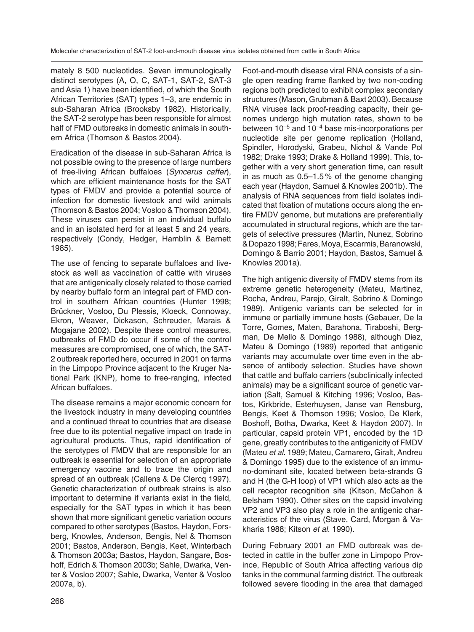mately 8 500 nucleotides. Seven immunologically distinct serotypes (A, O, C, SAT-1, SAT-2, SAT-3 and Asia 1) have been identified, of which the South African Territories (SAT) types 1–3, are endemic in sub-Saharan Africa (Brooksby 1982). Historically, the SAT-2 serotype has been responsible for almost half of FMD outbreaks in domestic animals in southern Africa (Thomson & Bastos 2004).

Eradication of the disease in sub-Saharan Africa is not possible owing to the presence of large numbers of free-living African buffaloes (*Syncerus caffer*), which are efficient maintenance hosts for the SAT types of FMDV and provide a potential source of infection for domestic livestock and wild animals (Thomson & Bastos 2004; Vosloo & Thomson 2004). These viruses can persist in an individual buffalo and in an isolated herd for at least 5 and 24 years, respectively (Condy, Hedger, Hamblin & Barnett 1985).

The use of fencing to separate buffaloes and livestock as well as vaccination of cattle with viruses that are antigenically closely related to those carried by nearby buffalo form an integral part of FMD control in southern African countries (Hunter 1998; Brückner, Vosloo, Du Plessis, Kloeck, Connoway, Ekron, Weaver, Dickason, Schreuder, Marais & Mogajane 2002). Despite these control measures, outbreaks of FMD do occur if some of the control measures are compromised, one of which, the SAT-2 outbreak reported here, occurred in 2001 on farms in the Limpopo Province adjacent to the Kruger National Park (KNP), home to free-ranging, infected African buffaloes.

The disease remains a major economic concern for the livestock industry in many developing countries and a continued threat to countries that are disease free due to its potential negative impact on trade in agricultural products. Thus, rapid identification of the serotypes of FMDV that are responsible for an outbreak is essential for selection of an appropriate emergency vaccine and to trace the origin and spread of an outbreak (Callens & De Clercq 1997). Genetic characterization of outbreak strains is also important to determine if variants exist in the field, especially for the SAT types in which it has been shown that more significant genetic variation occurs compared to other serotypes (Bastos, Haydon, Forsberg, Knowles, Anderson, Bengis, Nel & Thomson 2001; Bastos, Anderson, Bengis, Keet, Winterbach & Thomson 2003a; Bastos, Haydon, Sangare, Boshoff, Edrich & Thomson 2003b; Sahle, Dwarka, Venter & Vosloo 2007; Sahle, Dwarka, Venter & Vosloo 2007a, b).

Foot-and-mouth disease viral RNA consists of a single open reading frame flanked by two non-coding regions both predicted to exhibit complex secondary structures (Mason, Grubman & Baxt 2003). Because RNA viruses lack proof-reading capacity, their genomes undergo high mutation rates, shown to be between  $10^{-5}$  and  $10^{-4}$  base mis-incorporations per nucleotide site per genome replication (Holland, Spindler, Horodyski, Grabeu, Nichol & Vande Pol 1982; Drake 1993; Drake & Holland 1999). This, together with a very short generation time, can result in as much as 0.5–1.5 % of the genome changing each year (Haydon, Samuel & Knowles 2001b). The analysis of RNA sequences from field isolates indicated that fixation of mutations occurs along the entire FMDV genome, but mutations are preferentially accumulated in structural regions, which are the targets of selective pressures (Martin, Nunez, Sobrino & Dopazo 1998; Fares, Moya, Escarmis, Baranowski, Domingo & Barrio 2001; Haydon, Bastos, Samuel & Knowles 2001a).

The high antigenic diversity of FMDV stems from its extreme genetic heterogeneity (Mateu, Martinez, Rocha, Andreu, Parejo, Giralt, Sobrino & Domingo 1989). Antigenic variants can be selected for in immune or partially immune hosts (Gebauer, De la Torre, Gomes, Maten, Barahona, Tiraboshi, Bergman, De Mello & Domingo 1988), although Diez, Mateu & Domingo (1989) reported that antigenic variants may accumulate over time even in the absence of antibody selection. Studies have shown that cattle and buffalo carriers (subclinically infected animals) may be a significant source of genetic variation (Salt, Samuel & Kitching 1996; Vosloo, Bastos, Kirkbride, Esterhuysen, Janse van Rensburg, Bengis, Keet & Thomson 1996; Vosloo, De Klerk, Boshoff, Botha, Dwarka, Keet & Haydon 2007). In particular, capsid protein VP1, encoded by the 1D gene, greatly contributes to the antigenicity of FMDV (Mateu *et al*. 1989; Mateu, Camarero, Giralt, Andreu & Domingo 1995) due to the existence of an immuno-dominant site, located between beta-strands G and H (the G-H loop) of VP1 which also acts as the cell receptor recognition site (Kitson, McCahon & Belsham 1990). Other sites on the capsid involving VP2 and VP3 also play a role in the antigenic characteristics of the virus (Stave, Card, Morgan & Vakharia 1988; Kitson *et al*. 1990).

During February 2001 an FMD outbreak was detected in cattle in the buffer zone in Limpopo Province, Republic of South Africa affecting various dip tanks in the communal farming district. The outbreak followed severe flooding in the area that damaged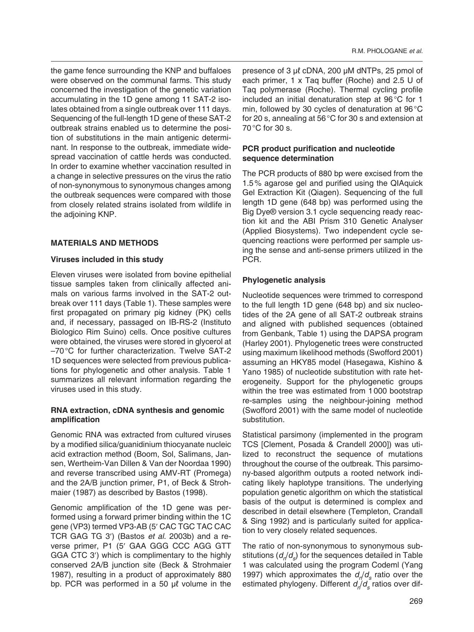the game fence surrounding the KNP and buffaloes were observed on the communal farms. This study concerned the investigation of the genetic variation accumulating in the 1D gene among 11 SAT-2 isolates obtained from a single outbreak over 111 days. Sequencing of the full-length 1D gene of these SAT-2 outbreak strains enabled us to determine the position of substitutions in the main antigenic determinant. In response to the outbreak, immediate widespread vaccination of cattle herds was conducted. In order to examine whether vaccination resulted in a change in selective pressures on the virus the ratio of non-synonymous to synonymous changes among the outbreak sequences were compared with those from closely related strains isolated from wildlife in the adjoining KNP.

# **MATERIALS AND METHODS**

# **Viruses included in this study**

Eleven viruses were isolated from bovine epithelial tissue samples taken from clinically affected animals on various farms involved in the SAT-2 outbreak over 111 days (Table 1). These samples were first propagated on primary pig kidney (PK) cells and, if necessary, passaged on IB-RS-2 (Instituto Biologico Rim Suino) cells. Once positive cultures were obtained, the viruses were stored in glycerol at –70 °C for further characterization. Twelve SAT-2 1D sequences were selected from previous publications for phylogenetic and other analysis. Table 1 summarizes all relevant information regarding the viruses used in this study.

# **RNA extraction, cDNA synthesis and genomic amplification**

Genomic RNA was extracted from cultured viruses by a modified silica/guanidinium thiocyanate nucleic acid extraction method (Boom, Sol, Salimans, Jansen, Wertheim-Van Dillen & Van der Noordaa 1990) and reverse transcribed using AMV-RT (Promega) and the 2A/B junction primer, P1, of Beck & Strohmaier (1987) as described by Bastos (1998).

Genomic amplification of the 1D gene was performed using a forward primer binding within the 1C gene (VP3) termed VP3-AB (5′ CAC TGC TAC CAC TCR GAG TG 3′) (Bastos *et al*. 2003b) and a reverse primer, P1 (5′ GAA GGG CCC AGG GTT GGA CTC 3′) which is complimentary to the highly conserved 2A/B junction site (Beck & Strohmaier 1987), resulting in a product of approximately 880 bp. PCR was performed in a 50 μℓ volume in the

presence of 3 μℓ cDNA, 200 μM dNTPs, 25 pmol of each primer, 1 x Taq buffer (Roche) and 2.5 U of Taq polymerase (Roche). Thermal cycling profile included an initial denaturation step at 96 °C for 1 min, followed by 30 cycles of denaturation at 96 °C for 20 s, annealing at 56 °C for 30 s and extension at 70 °C for 30 s.

# **PCR product purification and nucleotide sequence determination**

The PCR products of 880 bp were excised from the 1.5 % agarose gel and purified using the QIAquick Gel Extraction Kit (Qiagen). Sequencing of the full length 1D gene (648 bp) was performed using the Big Dye® version 3.1 cycle sequencing ready reaction kit and the ABI Prism 310 Genetic Analyser (Applied Biosystems). Two independent cycle sequencing reactions were performed per sample using the sense and anti-sense primers utilized in the PCR.

# **Phylogenetic analysis**

Nucleotide sequences were trimmed to correspond to the full length 1D gene (648 bp) and six nucleotides of the 2A gene of all SAT-2 outbreak strains and aligned with published sequences (obtained from Genbank, Table 1) using the DAPSA program (Harley 2001). Phylogenetic trees were constructed using maximum likelihood methods (Swofford 2001) assuming an HKY85 model (Hasegawa, Kishino & Yano 1985) of nucleotide substitution with rate heterogeneity. Support for the phylogenetic groups within the tree was estimated from 1 000 bootstrap re-samples using the neighbour-joining method (Swofford 2001) with the same model of nucleotide substitution.

Statistical parsimony (implemented in the program TCS [Clement, Posada & Crandell 2000]) was utilized to reconstruct the sequence of mutations throughout the course of the outbreak. This parsimony-based algorithm outputs a rooted network indicating likely haplotype transitions. The underlying population genetic algorithm on which the statistical basis of the output is determined is complex and described in detail elsewhere (Templeton, Crandall & Sing 1992) and is particularly suited for application to very closely related sequences.

The ratio of non-synonymous to synonymous substitutions  $(d_n/d_c)$  for the sequences detailed in Table 1 was calculated using the program Codeml (Yang 1997) which approximates the  $d_n/d_s$  ratio over the estimated phylogeny. Different  $d/d_s$  ratios over dif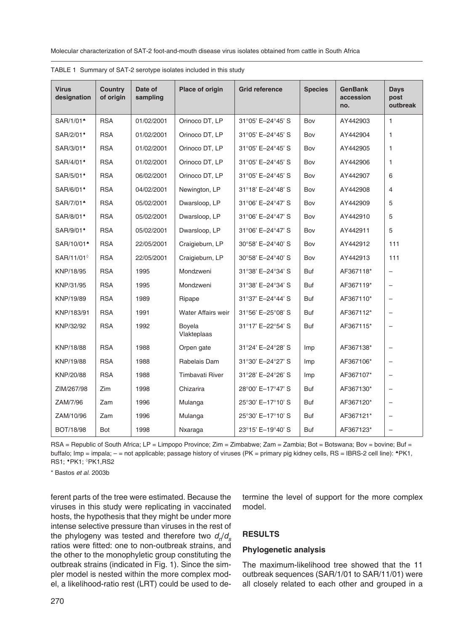Molecular characterization of SAT-2 foot-and-mouth disease virus isolates obtained from cattle in South Africa

| <b>Virus</b><br>designation | Country<br>of origin | Date of<br>sampling | Place of origin        | <b>Grid reference</b> |     | <b>GenBank</b><br>accession<br>no. | <b>Days</b><br>post<br>outbreak |
|-----------------------------|----------------------|---------------------|------------------------|-----------------------|-----|------------------------------------|---------------------------------|
| SAR/1/01 <sup>*</sup>       | <b>RSA</b>           | 01/02/2001          | Orinoco DT, LP         | 31°05' E-24°45' S     | Bov | AY442903                           | 1                               |
| SAR/2/01*                   | <b>RSA</b>           | 01/02/2001          | Orinoco DT, LP         | 31°05' E-24°45' S     | Bov | AY442904                           | 1                               |
| SAR/3/01 <sup>*</sup>       | <b>RSA</b>           | 01/02/2001          | Orinoco DT, LP         | 31°05' E-24°45' S     | Bov | AY442905                           | 1                               |
| SAR/4/01*                   | <b>RSA</b>           | 01/02/2001          | Orinoco DT, LP         | 31°05' E-24°45' S     | Bov | AY442906                           | 1                               |
| SAR/5/01*                   | <b>RSA</b>           | 06/02/2001          | Orinoco DT, LP         | 31°05' E-24°45' S     | Bov | AY442907                           | 6                               |
| SAR/6/01*                   | <b>RSA</b>           | 04/02/2001          | Newington, LP          | 31°18' E-24°48' S     | Bov | AY442908                           | $\overline{4}$                  |
| SAR/7/01 <sup>*</sup>       | <b>RSA</b>           | 05/02/2001          | Dwarsloop, LP          | 31°06' E-24°47' S     | Bov | AY442909                           | 5                               |
| SAR/8/01*                   | <b>RSA</b>           | 05/02/2001          | Dwarsloop, LP          | 31°06' E-24°47' S     | Bov | AY442910                           | 5                               |
| SAR/9/01*                   | <b>RSA</b>           | 05/02/2001          | Dwarsloop, LP          | 31°06' E-24°47' S     | Bov | AY442911                           | 5                               |
| SAR/10/01 <sup>*</sup>      | <b>RSA</b>           | 22/05/2001          | Craigieburn, LP        | 30°58' E-24°40' S     | Bov | AY442912                           | 111                             |
| SAR/11/01 <sup>6</sup>      | <b>RSA</b>           | 22/05/2001          | Craigieburn, LP        | 30°58' E-24°40' S     | Bov | AY442913                           | 111                             |
| KNP/18/95                   | <b>RSA</b>           | 1995                | Mondzweni              | 31°38' E-24°34' S     | Buf | AF367118*                          | -                               |
| KNP/31/95                   | <b>RSA</b>           | 1995                | Mondzweni              | 31°38' E-24°34' S     | Buf | AF367119*                          | $\qquad \qquad -$               |
| KNP/19/89                   | <b>RSA</b>           | 1989                | Ripape                 | 31°37' E-24°44' S     | Buf | AF367110*                          | $\overline{\phantom{0}}$        |
| KNP/183/91                  | <b>RSA</b>           | 1991                | Water Affairs weir     | 31°56' E-25°08' S     | Buf | AF367112*                          | -                               |
| KNP/32/92                   | <b>RSA</b>           | 1992                | Boyela<br>Vlakteplaas  | 31°17' E-22°54' S     | Buf | AF367115*                          | -                               |
| KNP/18/88                   | <b>RSA</b>           | 1988                | Orpen gate             | 31°24' E-24°28' S     | Imp | AF367138*                          | $\overline{\phantom{0}}$        |
| KNP/19/88                   | <b>RSA</b>           | 1988                | Rabelais Dam           | 31°30' E-24°27' S     | Imp | AF367106*                          | -                               |
| KNP/20/88                   | <b>RSA</b>           | 1988                | <b>Timbavati River</b> | 31°28' E-24°26' S     | Imp | AF367107*                          | $\qquad \qquad -$               |
| ZIM/267/98                  | Zim                  | 1998                | Chizarira              | 28°00' E-17°47' S     | Buf | AF367130*                          | -                               |
| ZAM/7/96                    | Zam                  | 1996                | Mulanga                | 25°30' E-17°10' S     | Buf | AF367120*                          | $\overline{\phantom{0}}$        |
| ZAM/10/96                   | Zam                  | 1996                | Mulanga                | 25°30' E-17°10' S     | Buf | AF367121*                          | -                               |
| <b>BOT/18/98</b>            | Bot                  | 1998                | Nxaraga                | 23°15' E-19°40' S     | Buf | AF367123*                          |                                 |

|  | TABLE 1 Summary of SAT-2 serotype isolates included in this study |  |
|--|-------------------------------------------------------------------|--|
|--|-------------------------------------------------------------------|--|

RSA = Republic of South Africa; LP = Limpopo Province; Zim = Zimbabwe; Zam = Zambia; Bot = Botswana; Bov = bovine; Buf = buffalo; Imp = impala; - = not applicable; passage history of viruses (PK = primary pig kidney cells, RS = IBRS-2 cell line): <sup>▲</sup>PK1, RS1; ♦PK1; ◊PK1,RS2

\* Bastos *et al*. 2003b

ferent parts of the tree were estimated. Because the viruses in this study were replicating in vaccinated hosts, the hypothesis that they might be under more intense selective pressure than viruses in the rest of the phylogeny was tested and therefore two  $d/d_s$ ratios were fitted: one to non-outbreak strains, and the other to the monophyletic group constituting the outbreak strains (indicated in Fig. 1). Since the simpler model is nested within the more complex model, a likelihood-ratio rest (LRT) could be used to determine the level of support for the more complex model.

## **RESULTS**

### **Phylogenetic analysis**

The maximum-likelihood tree showed that the 11 outbreak sequences (SAR/1/01 to SAR/11/01) were all closely related to each other and grouped in a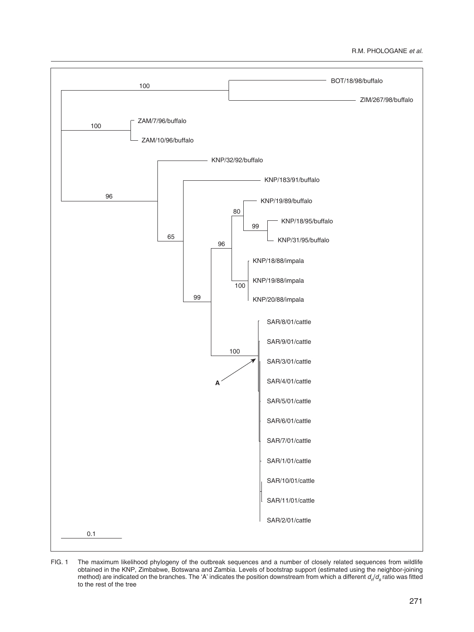## R.M. PHOLOGANE *et al.*



FIG. 1 The maximum likelihood phylogeny of the outbreak sequences and a number of closely related sequences from wildlife obtained in the KNP, Zimbabwe, Botswana and Zambia. Levels of bootstrap support (estimated using the neighbor-joining method) are indicated on the branches. The 'A' indicates the position downstream from which a different  $d_n/d_s$  ratio was fitted to the rest of the tree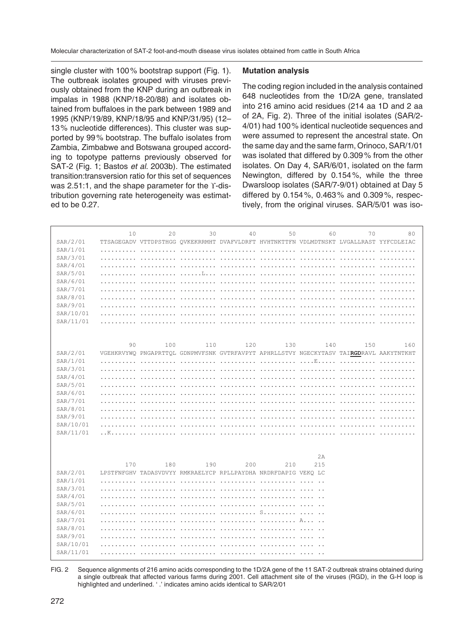single cluster with 100 % bootstrap support (Fig. 1). The outbreak isolates grouped with viruses previously obtained from the KNP during an outbreak in impalas in 1988 (KNP/18-20/88) and isolates obtained from buffaloes in the park between 1989 and 1995 (KNP/19/89, KNP/18/95 and KNP/31/95) (12– 13 % nucleotide differences). This cluster was supported by 99 % bootstrap. The buffalo isolates from Zambia, Zimbabwe and Botswana grouped according to topotype patterns previously observed for SAT-2 (Fig. 1; Bastos *et al*. 2003b). The estimated transition:transversion ratio for this set of sequences was 2.51:1, and the shape parameter for the Y-distribution governing rate heterogeneity was estimated to be 0.27.

### **Mutation analysis**

The coding region included in the analysis contained 648 nucleotides from the 1D/2A gene, translated into 216 amino acid residues (214 aa 1D and 2 aa of 2A, Fig. 2). Three of the initial isolates (SAR/2- 4/01) had 100 % identical nucleotide sequences and were assumed to represent the ancestral state. On the same day and the same farm, Orinoco, SAR/1/01 was isolated that differed by 0.309 % from the other isolates. On Day 4, SAR/6/01, isolated on the farm Newington, differed by 0.154 %, while the three Dwarsloop isolates (SAR/7-9/01) obtained at Day 5 differed by 0.154 %, 0.463 % and 0.309 %, respectively, from the original viruses. SAR/5/01 was iso-

|           | 10                   | 20  | 30  | 40                        | 50                                                                                      | 60                             | 70                     | 80  |
|-----------|----------------------|-----|-----|---------------------------|-----------------------------------------------------------------------------------------|--------------------------------|------------------------|-----|
| SAR/2/01  |                      |     |     |                           | TTSAGEGADV VTTDPSTHGG OVKEKRRMHT DVAFVLDRFT HVHTNKTTFN VDLMDTNSKT LVGALLRAST YYFCDLEIAC |                                |                        |     |
| SAR/1/01  |                      |     |     |                           |                                                                                         |                                | .                      |     |
| SAR/3/01  |                      |     |     |                           | <u>.</u>                                                                                | .                              |                        |     |
| SAR/4/01  |                      |     |     | .                         |                                                                                         |                                | <u>.</u>               |     |
| SAR/5/01  |                      |     |     |                           |                                                                                         |                                |                        |     |
| SAR/6/01  |                      |     |     |                           |                                                                                         |                                |                        |     |
| SAR/7/01  |                      |     |     |                           |                                                                                         | and the state of the state     |                        |     |
| SAR/8/01  |                      |     |     |                           |                                                                                         |                                |                        |     |
| SAR/9/01  |                      |     |     |                           |                                                                                         |                                |                        |     |
| SAR/10/01 |                      |     |     |                           |                                                                                         |                                |                        |     |
| SAR/11/01 |                      |     |     |                           |                                                                                         |                                |                        |     |
|           |                      |     |     |                           |                                                                                         |                                |                        |     |
|           |                      |     |     |                           |                                                                                         |                                |                        |     |
|           | 90                   | 100 | 110 | 120                       | 130                                                                                     | 140                            | 150                    | 160 |
| SAR/2/01  |                      |     |     |                           | VGEHKRVYWO PNGAPRTTOL GDNPMVFSNK GVTRFAVPYT APHRLLSTVY NGECKYTASV TAIRGDRAVL AAKYTNTKHT |                                |                        |     |
| SAR/1/01  | a a shekarar ta 1970 |     |     |                           |                                                                                         |                                |                        |     |
| SAR/3/01  |                      |     |     |                           |                                                                                         |                                |                        |     |
| SAR/4/01  |                      |     |     |                           |                                                                                         |                                | and the company of the |     |
| SAR/5/01  |                      |     |     |                           |                                                                                         |                                |                        |     |
| SAR/6/01  |                      |     |     |                           |                                                                                         |                                |                        |     |
| SAR/7/01  |                      |     |     |                           |                                                                                         |                                |                        |     |
| SAR/8/01  |                      |     |     |                           |                                                                                         |                                |                        |     |
| SAR/9/01  |                      |     |     |                           |                                                                                         | and a straightful and straight |                        |     |
| SAR/10/01 |                      |     |     |                           |                                                                                         |                                |                        |     |
| SAR/11/01 | . . K                |     |     |                           |                                                                                         |                                |                        |     |
|           |                      |     |     |                           |                                                                                         |                                |                        |     |
|           |                      |     |     |                           |                                                                                         | 2A                             |                        |     |
|           |                      |     |     |                           |                                                                                         |                                |                        |     |
| SAR/2/01  | 170                  | 180 | 190 | 200                       | 210                                                                                     | 215                            |                        |     |
| SAR/1/01  |                      |     |     |                           | LPSTFNFGHV TADASVDVYY RMKRAELYCP RPLLPAYDHA NRDRFDAPIG VEKO LC                          |                                |                        |     |
| SAR/3/01  |                      |     |     |                           |                                                                                         |                                |                        |     |
| SAR/4/01  |                      |     |     |                           |                                                                                         |                                |                        |     |
| SAR/5/01  |                      |     |     |                           |                                                                                         |                                |                        |     |
| SAR/6/01  |                      |     |     | and the components of the | <b>S</b>                                                                                |                                |                        |     |
| SAR/7/01  |                      |     |     |                           |                                                                                         |                                |                        |     |
| SAR/8/01  |                      |     |     |                           |                                                                                         |                                |                        |     |
| SAR/9/01  |                      |     |     |                           |                                                                                         |                                |                        |     |
| SAR/10/01 |                      |     |     |                           |                                                                                         |                                |                        |     |
| SAR/11/01 |                      |     |     |                           |                                                                                         |                                |                        |     |
|           |                      |     |     | and a straight and        |                                                                                         |                                |                        |     |

FIG. 2 Sequence alignments of 216 amino acids corresponding to the 1D/2A gene of the 11 SAT-2 outbreak strains obtained during a single outbreak that affected various farms during 2001. Cell attachment site of the viruses (RGD), in the G-H loop is highlighted and underlined. ' .' indicates amino acids identical to SAR/2/01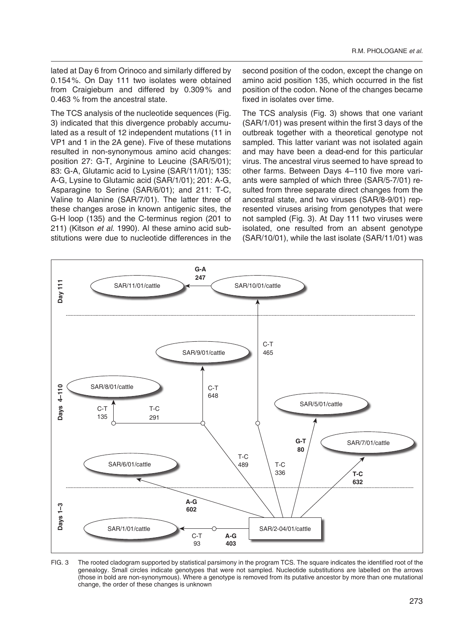lated at Day 6 from Orinoco and similarly differed by 0.154 %. On Day 111 two isolates were obtained from Craigieburn and differed by 0.309% and 0.463 % from the ancestral state.

The TCS analysis of the nucleotide sequences (Fig. 3) indicated that this divergence probably accumulated as a result of 12 independent mutations (11 in VP1 and 1 in the 2A gene). Five of these mutations resulted in non-synonymous amino acid changes: position 27: G-T, Arginine to Leucine (SAR/5/01); 83: G-A, Glutamic acid to Lysine (SAR/11/01); 135: A-G, Lysine to Glutamic acid (SAR/1/01); 201: A-G, Asparagine to Serine (SAR/6/01); and 211: T-C, Valine to Alanine (SAR/7/01). The latter three of these changes arose in known antigenic sites, the G-H loop (135) and the C-terminus region (201 to 211) (Kitson *et al*. 1990). Al these amino acid substitutions were due to nucleotide differences in the

second position of the codon, except the change on amino acid position 135, which occurred in the fist position of the codon. None of the changes became fixed in isolates over time.

The TCS analysis (Fig. 3) shows that one variant (SAR/1/01) was present within the first 3 days of the outbreak together with a theoretical genotype not sampled. This latter variant was not isolated again and may have been a dead-end for this particular virus. The ancestral virus seemed to have spread to other farms. Between Days 4–110 five more variants were sampled of which three (SAR/5-7/01) resulted from three separate direct changes from the ancestral state, and two viruses (SAR/8-9/01) represented viruses arising from genotypes that were not sampled (Fig. 3). At Day 111 two viruses were isolated, one resulted from an absent genotype (SAR/10/01), while the last isolate (SAR/11/01) was



FIG. 3 The rooted cladogram supported by statistical parsimony in the program TCS. The square indicates the identified root of the genealogy. Small circles indicate genotypes that were not sampled. Nucleotide substitutions are labelled on the arrows (those in bold are non-synonymous). Where a genotype is removed from its putative ancestor by more than one mutational change, the order of these changes is unknown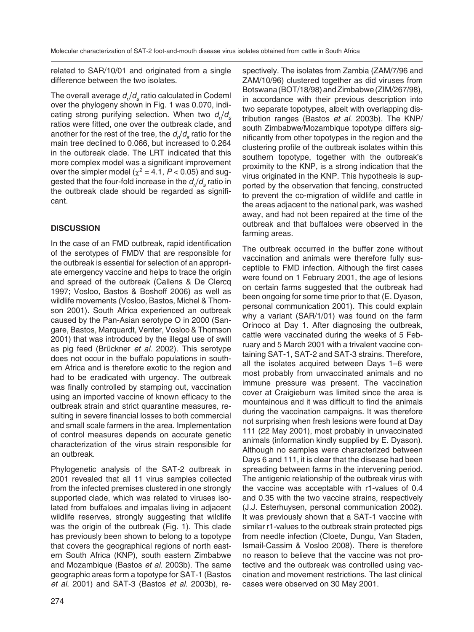related to SAR/10/01 and originated from a single difference between the two isolates.

The overall average  $d/d<sub>s</sub>$  ratio calculated in Codeml over the phylogeny shown in Fig. 1 was 0.070, indicating strong purifying selection. When two  $d/d<sub>s</sub>$ ratios were fitted, one over the outbreak clade, and another for the rest of the tree, the  $d/d<sub>s</sub>$  ratio for the main tree declined to 0.066, but increased to 0.264 in the outbreak clade. The LRT indicated that this more complex model was a significant improvement over the simpler model ( $\chi^2$  = 4.1, *P* < 0.05) and suggested that the four-fold increase in the  $d_n/d_s$  ratio in the outbreak clade should be regarded as significant.

# **DISCUSSION**

In the case of an FMD outbreak, rapid identification of the serotypes of FMDV that are responsible for the outbreak is essential for selection of an appropriate emergency vaccine and helps to trace the origin and spread of the outbreak (Callens & De Clercq 1997; Vosloo, Bastos & Boshoff 2006) as well as wildlife movements (Vosloo, Bastos, Michel & Thomson 2001). South Africa experienced an outbreak caused by the Pan-Asian serotype O in 2000 (Sangare, Bastos, Marquardt, Venter, Vosloo & Thomson 2001) that was introduced by the illegal use of swill as pig feed (Brückner *et al*. 2002). This serotype does not occur in the buffalo populations in southern Africa and is therefore exotic to the region and had to be eradicated with urgency. The outbreak was finally controlled by stamping out, vaccination using an imported vaccine of known efficacy to the outbreak strain and strict quarantine measures, resulting in severe financial losses to both commercial and small scale farmers in the area. Implementation of control measures depends on accurate genetic characterization of the virus strain responsible for an outbreak.

Phylogenetic analysis of the SAT-2 outbreak in 2001 revealed that all 11 virus samples collected from the infected premises clustered in one strongly supported clade, which was related to viruses isolated from buffaloes and impalas living in adjacent wildlife reserves, strongly suggesting that wildlife was the origin of the outbreak (Fig. 1). This clade has previously been shown to belong to a topotype that covers the geographical regions of north eastern South Africa (KNP), south eastern Zimbabwe and Mozambique (Bastos *et al*. 2003b). The same geographic areas form a topotype for SAT-1 (Bastos *et al*. 2001) and SAT-3 (Bastos *et al*. 2003b), respectively. The isolates from Zambia (ZAM/7/96 and ZAM/10/96) clustered together as did viruses from Botswana (BOT/18/98) and Zimbabwe (ZIM/267/98), in accordance with their previous description into two separate topotypes, albeit with overlapping distribution ranges (Bastos *et al*. 2003b). The KNP/ south Zimbabwe/Mozambique topotype differs significantly from other topotypes in the region and the clustering profile of the outbreak isolates within this southern topotype, together with the outbreak's proximity to the KNP, is a strong indication that the virus originated in the KNP. This hypothesis is supported by the observation that fencing, constructed to prevent the co-migration of wildlife and cattle in the areas adjacent to the national park, was washed away, and had not been repaired at the time of the outbreak and that buffaloes were observed in the farming areas.

The outbreak occurred in the buffer zone without vaccination and animals were therefore fully susceptible to FMD infection. Although the first cases were found on 1 February 2001, the age of lesions on certain farms suggested that the outbreak had been ongoing for some time prior to that (E. Dyason, personal communication 2001). This could explain why a variant (SAR/1/01) was found on the farm Orinoco at Day 1. After diagnosing the outbreak, cattle were vaccinated during the weeks of 5 February and 5 March 2001 with a trivalent vaccine containing SAT-1, SAT-2 and SAT-3 strains. Therefore, all the isolates acquired between Days 1–6 were most probably from unvaccinated animals and no immune pressure was present. The vaccination cover at Craigieburn was limited since the area is mountainous and it was difficult to find the animals during the vaccination campaigns. It was therefore not surprising when fresh lesions were found at Day 111 (22 May 2001), most probably in unvaccinated animals (information kindly supplied by E. Dyason). Although no samples were characterized between Days 6 and 111, it is clear that the disease had been spreading between farms in the intervening period. The antigenic relationship of the outbreak virus with the vaccine was acceptable with r1-values of 0.4 and 0.35 with the two vaccine strains, respectively (J.J. Esterhuysen, personal communication 2002). It was previously shown that a SAT-1 vaccine with similar r1-values to the outbreak strain protected pigs from needle infection (Cloete, Dungu, Van Staden, Ismail-Cassim & Vosloo 2008). There is therefore no reason to believe that the vaccine was not protective and the outbreak was controlled using vaccination and movement restrictions. The last clinical cases were observed on 30 May 2001.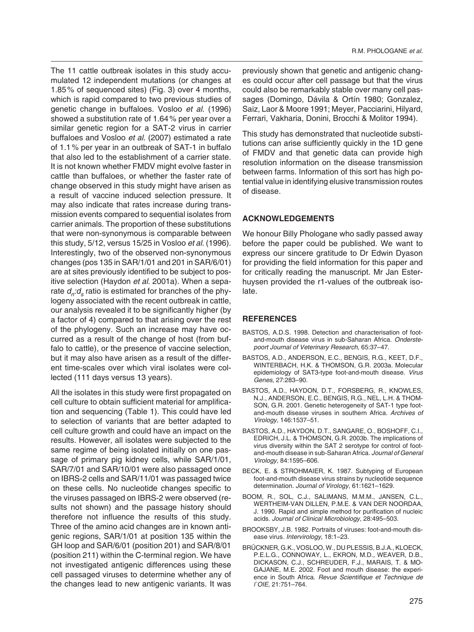The 11 cattle outbreak isolates in this study accumulated 12 independent mutations (or changes at 1.85 % of sequenced sites) (Fig. 3) over 4 months, which is rapid compared to two previous studies of genetic change in buffaloes. Vosloo *et al*. (1996) showed a substitution rate of 1.64 % per year over a similar genetic region for a SAT-2 virus in carrier buffaloes and Vosloo *et al*. (2007) estimated a rate of 1.1 % per year in an outbreak of SAT-1 in buffalo that also led to the establishment of a carrier state. It is not known whether FMDV might evolve faster in cattle than buffaloes, or whether the faster rate of change observed in this study might have arisen as a result of vaccine induced selection pressure. It may also indicate that rates increase during transmission events compared to sequential isolates from carrier animals. The proportion of these substitutions that were non-synonymous is comparable between this study, 5/12, versus 15/25 in Vosloo *et al*. (1996). Interestingly, two of the observed non-synonymous changes (pos 135 in SAR/1/01 and 201 in SAR/6/01) are at sites previously identified to be subject to positive selection (Haydon *et al*. 2001a). When a separate  $d_n: d_s$  ratio is estimated for branches of the phylogeny associated with the recent outbreak in cattle, our analysis revealed it to be significantly higher (by a factor of 4) compared to that arising over the rest of the phylogeny. Such an increase may have occurred as a result of the change of host (from buffalo to cattle), or the presence of vaccine selection, but it may also have arisen as a result of the different time-scales over which viral isolates were collected (111 days versus 13 years).

All the isolates in this study were first propagated on cell culture to obtain sufficient material for amplification and sequencing (Table 1). This could have led to selection of variants that are better adapted to cell culture growth and could have an impact on the results. However, all isolates were subjected to the same regime of being isolated initially on one passage of primary pig kidney cells, while SAR/1/01, SAR/7/01 and SAR/10/01 were also passaged once on IBRS-2 cells and SAR/11/01 was passaged twice on these cells. No nucleotide changes specific to the viruses passaged on IBRS-2 were observed (results not shown) and the passage history should therefore not influence the results of this study. Three of the amino acid changes are in known antigenic regions, SAR/1/01 at position 135 within the GH loop and SAR/6/01 (position 201) and SAR/8/01 (position 211) within the C-terminal region. We have not investigated antigenic differences using these cell passaged viruses to determine whether any of the changes lead to new antigenic variants. It was

previously shown that genetic and antigenic changes could occur after cell passage but that the virus could also be remarkably stable over many cell passages (Domingo, Dávila & Ortín 1980; Gonzalez, Saiz, Laor & Moore 1991; Meyer, Pacciarini, Hilyard, Ferrari, Vakharia, Donini, Brocchi & Molitor 1994).

This study has demonstrated that nucleotide substitutions can arise sufficiently quickly in the 1D gene of FMDV and that genetic data can provide high resolution information on the disease transmission between farms. Information of this sort has high potential value in identifying elusive transmission routes of disease.

## **ACKNOWLEDGEMENTS**

We honour Billy Phologane who sadly passed away before the paper could be published. We want to express our sincere gratitude to Dr Edwin Dyason for providing the field information for this paper and for critically reading the manuscript. Mr Jan Esterhuysen provided the r1-values of the outbreak isolate.

# **REFERENCES**

- BASTOS, A.D.S. 1998. Detection and characterisation of footand-mouth disease virus in sub-Saharan Africa. *Onderstepoort Journal of Veterinary Research,* 65:37–47.
- BASTOS, A.D., ANDERSON, E.C., BENGIS, R.G., KEET, D.F., WINTERBACH, H.K. & THOMSON, G.R. 2003a. Molecular epidemiology of SAT3-type foot-and-mouth disease. *Virus Genes,* 27:283–90.
- BASTOS, A.D., HAYDON, D.T., FORSBERG, R., KNOWLES, N.J., ANDERSON, E.C., BENGIS, R.G., NEL, L.H. & THOM-SON, G.R. 2001. Genetic heterogeneity of SAT-1 type footand-mouth disease viruses in southern Africa. *Archives of Virology,* 146:1537–51.
- BASTOS, A.D., HAYDON, D.T., SANGARE, O., BOSHOFF, C.I., EDRICH, J.L. & THOMSON, G.R. 2003b. The implications of virus diversity within the SAT 2 serotype for control of footand-mouth disease in sub-Saharan Africa. *Journal of General Virology*, 84:1595–606.
- BECK, E. & STROHMAIER, K. 1987. Subtyping of European foot-and-mouth disease virus strains by nucleotide sequence determination. *Journal of Virology*, 61:1621–1629.
- BOOM, R., SOL, C.J., SALIMANS, M.M.M., JANSEN, C.L., WERTHEIM-VAN DILLEN, P.M.E. & VAN DER NOORDAA, J. 1990. Rapid and simple method for purification of nucleic acids. *Journal of Clinical Microbiology*, 28:495–503.
- BROOKSBY, J.B. 1982. Portraits of viruses: foot-and-mouth disease virus*. Intervirology,* 18:1–23.
- BRÜCKNER, G.K., VOSLOO, W., DU PLESSIS, B.J.A., KLOECK, P.E.L.G., CONNOWAY, L., EKRON, M.D., WEAVER, D.B., DICKASON, C.J., SCHREUDER, F.J., MARAIS, T. & MO-GAJANE, M.E. 2002. Foot and mouth disease: the experience in South Africa. *Revue Scientifique et Technique de l`OIE*, 21:751–764.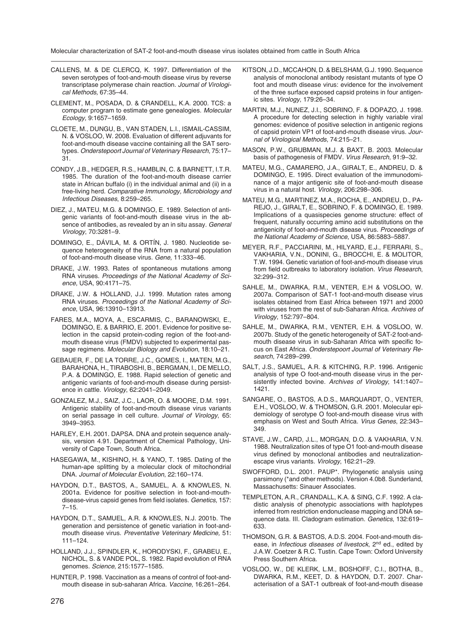- CALLENS, M. & DE CLERCQ, K. 1997. Differentiation of the seven serotypes of foot-and-mouth disease virus by reverse transcriptase polymerase chain reaction. Journal of Virologi*cal Methods,* 67:35–44.
- CLEMENT, M., POSADA, D. & CRANDELL, K.A. 2000. TCS: a computer program to estimate gene genealogies. *Molecular Ecology,* 9:1657–1659.
- CLOETE, M., DUNGU, B., VAN STADEN, L.I., ISMAIL-CASSIM, N. & VOSLOO, W. 2008. Evaluation of different adjuvants for foot-and-mouth disease vaccine containing all the SAT serotypes. *Onderstepoort Journal of Veterinary Research*, 75:17– 31.
- CONDY, J.B., HEDGER, R.S., HAMBLIN, C. & BARNETT, I.T.R. 1985. The duration of the foot-and-mouth disease carrier state in African buffalo (i) in the individual animal and (ii) in a free-living herd. *Comparative Immunology, Microbiology and Infectious Diseases*, 8:259–265.
- DIEZ, J., MATEU, M.G. & DOMINGO, E. 1989. Selection of antigenic variants of foot-and-mouth disease virus in the absence of antibodies, as revealed by an in situ assay. *General Virology*, 70:3281–9.
- DOMINGO, E., DÁVILA, M. & ORTÍN, J. 1980. Nucleotide sequence heterogeneity of the RNA from a natural population of foot-and-mouth disease virus*. Gene,* 11:333–46.
- DRAKE, J.W. 1993. Rates of spontaneous mutations among RNA viruses. *Proceedings of the National Academy of Science,* USA, 90:4171–75.
- DRAKE, J.W. & HOLLAND, J.J. 1999. Mutation rates among RNA viruses. *Proceedings of the National Academy of Science*, USA, 96:13910–13913.
- FARES, M.A., MOYA, A., ESCARMIS, C., BARANOWSKI, E., DOMINGO, E. & BARRIO, E. 2001. Evidence for positive selection in the capsid protein-coding region of the foot-andmouth disease virus (FMDV) subjected to experimental passage regimens. *Molecular Biology and Evolution*, 18:10–21.
- GEBAUER, F., DE LA TORRE, J.C., GOMES, I., MATEN, M.G., BARAHONA, H., TIRABOSHI, B., BERGMAN, I., DE MELLO, P.A. & DOMINGO, E. 1988. Rapid selection of genetic and antigenic variants of foot-and-mouth disease during persistence in cattle. *Virology*, 62:2041–2049.
- GONZALEZ, M.J., SAIZ, J.C., LAOR, O. & MOORE, D.M. 1991. Antigenic stability of foot-and-mouth disease virus variants on serial passage in cell culture. *Journal of Virology*, 65: 3949–3953.
- HARLEY, E.H. 2001. DAPSA. DNA and protein sequence analysis, version 4.91. Department of Chemical Pathology, University of Cape Town, South Africa.
- HASEGAWA, M., KISHINO, H. & YANO, T. 1985. Dating of the human-ape splitting by a molecular clock of mitochondrial DNA. *Journal of Molecular Evolution*, 22:160–174.
- HAYDON, D.T., BASTOS, A., SAMUEL, A. & KNOWLES, N. 2001a. Evidence for positive selection in foot-and-mouthdisease-virus capsid genes from field isolates. *Genetics,* 157:  $7 - 15.$
- HAYDON, D.T., SAMUEL, A.R. & KNOWLES, N.J. 2001b. The generation and persistence of genetic variation in foot-andmouth disease virus. *Preventative Veterinary Medicine,* 51: 111–124.
- HOLLAND, J.J., SPINDLER, K., HORODYSKI, F., GRABEU, E., NICHOL, S. & VANDE POL, S. 1982. Rapid evolution of RNA genomes. *Science*, 215:1577–1585.
- HUNTER, P. 1998. Vaccination as a means of control of foot-andmouth disease in sub-saharan Africa. *Vaccine,* 16:261–264.
- KITSON, J.D., MCCAHON, D. & BELSHAM, G.J. 1990. Sequence analysis of monoclonal antibody resistant mutants of type O foot and mouth disease virus: evidence for the involvement of the three surface exposed capsid proteins in four antigenic sites. *Virology*, 179:26–34.
- MARTIN, M.J., NUNEZ, J.I., SOBRINO, F. & DOPAZO, J. 1998. A procedure for detecting selection in highly variable viral genomes: evidence of positive selection in antigenic regions of capsid protein VP1 of foot-and-mouth disease virus. *Journal of Virological Methods*, 74:215–21.
- MASON, P.W., GRUBMAN, M.J. & BAXT, B. 2003. Molecular basis of pathogenesis of FMDV. *Virus Research*, 91:9–32.
- MATEU, M.G., CAMARERO, J.A., GIRALT, E., ANDREU, D. & DOMINGO, E. 1995. Direct evaluation of the immunodominance of a major antigenic site of foot-and-mouth disease virus in a natural host. *Virology*, 206:298–306.
- MATEU, M.G., MARTINEZ, M.A., ROCHA, E., ANDREU, D., PA-REJO, J., GIRALT, E., SOBRINO, F. & DOMINGO, E. 1989. Implications of a quasispecies genome structure: effect of frequent, naturally occurring amino acid substitutions on the antigenicity of foot-and-mouth disease virus. *Proceedings of the National Academy of Science*, USA, 86:5883–5887.
- MEYER, R.F., PACCIARINI, M., HILYARD, E.J., FERRARI, S., VAKHARIA, V.N., DONINI, G., BROCCHI, E. & MOLITOR, T.W. 1994. Genetic variation of foot-and-mouth disease virus from field outbreaks to laboratory isolation. *Virus Research*, 32:299–312.
- SAHLE, M., DWARKA, R.M., VENTER, E.H & VOSLOO, W. 2007a. Comparison of SAT-1 foot-and-mouth disease virus isolates obtained from East Africa between 1971 and 2000 with viruses from the rest of sub-Saharan Africa. *Archives of Virology*, 152:797–804.
- SAHLE, M., DWARKA, R.M., VENTER, E.H. & VOSLOO, W. 2007b. Study of the genetic heterogeneity of SAT-2 foot-andmouth disease virus in sub-Saharan Africa with specific focus on East Africa. *Onderstepoort Journal of Veterinary Research*, 74:289–299.
- SALT, J.S., SAMUEL, A.R. & KITCHING, R.P. 1996. Antigenic analysis of type O foot-and-mouth disease virus in the persistently infected bovine. *Archives of Virology*, 141:1407– 1421.
- SANGARE, O., BASTOS, A.D.S., MARQUARDT, O., VENTER, E.H., VOSLOO, W. & THOMSON, G.R. 2001. Molecular epidemiology of serotype O foot-and-mouth disease virus with emphasis on West and South Africa. *Virus Genes*, 22:343– 349.
- STAVE, J.W., CARD, J.L., MORGAN, D.O. & VAKHARIA, V.N. 1988. Neutralization sites of type O1 foot-and-mouth disease virus defined by monoclonal antibodies and neutralizationescape virus variants. *Virology*, 162:21–29.
- SWOFFORD, D.L. 2001. PAUP\*. Phylogenetic analysis using parsimony (\*and other methods). Version 4.0b8. Sunderland, Massachusetts: Sinauer Associates.
- TEMPLETON, A.R., CRANDALL, K.A. & SING, C.F. 1992. A cladistic analysis of phenotypic associations with haplotypes inferred from restriction endonuclease mapping and DNA sequence data. III. Cladogram estimation. *Genetics*, 132:619– 633.
- THOMSON, G.R. & BASTOS, A.D.S. 2004. Foot-and-mouth disease, in *Infectious diseases of livestock*, 2<sup>nd</sup> ed., edited by J.A.W. Coetzer & R.C. Tustin. Cape Town: Oxford University Press Southern Africa.
- VOSLOO, W., DE KLERK, L.M., BOSHOFF, C.I., BOTHA, B., DWARKA, R.M., KEET, D. & HAYDON, D.T. 2007. Characterisation of a SAT-1 outbreak of foot-and-mouth disease